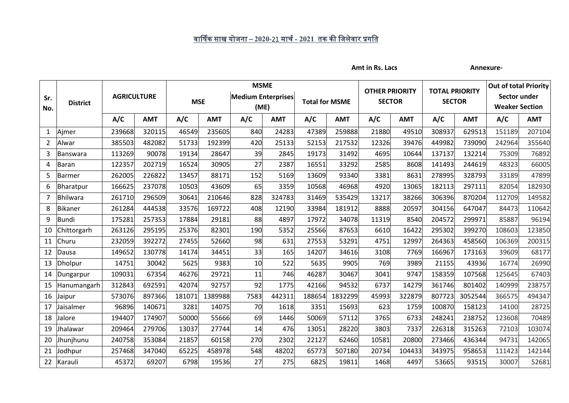## <u>वार्षिक साख योजना – 2020-21 मार्च - 2021 तक की जिलेवार प्रगति</u>

Amt in Rs. Lacs **Annexure-**

| Sr.<br>No.     | <b>District</b>  | <b>AGRICULTURE</b> |            | <b>MSME</b> |            |                                   |            |                       |            |                                        |            |                                        |            |                                       | <b>Out of total Priority</b> |  |
|----------------|------------------|--------------------|------------|-------------|------------|-----------------------------------|------------|-----------------------|------------|----------------------------------------|------------|----------------------------------------|------------|---------------------------------------|------------------------------|--|
|                |                  |                    |            | <b>MSE</b>  |            | <b>Medium Enterprises</b><br>(ME) |            | <b>Total for MSME</b> |            | <b>OTHER PRIORITY</b><br><b>SECTOR</b> |            | <b>TOTAL PRIORITY</b><br><b>SECTOR</b> |            | Sector under<br><b>Weaker Section</b> |                              |  |
|                |                  | A/C                | <b>AMT</b> | A/C         | <b>AMT</b> | A/C                               | <b>AMT</b> | A/C                   | <b>AMT</b> | A/C                                    | <b>AMT</b> | A/C                                    | <b>AMT</b> | A/C                                   | <b>AMT</b>                   |  |
| $\mathbf{1}$   | Ajmer            | 239668             | 320115     | 46549       | 235605     | 840                               | 24283      | 47389                 | 259888     | 21880                                  | 49510      | 308937                                 | 629513     | 151189                                | 207104                       |  |
| $\overline{2}$ | Alwar            | 385503             | 482082     | 51733       | 192399     | 420                               | 25133      | 52153                 | 217532     | 12326                                  | 39476      | 449982                                 | 739090     | 242964                                | 355640                       |  |
| 3              | Banswara         | 113269             | 90078      | 19134       | 28647      | 39                                | 2845       | 19173                 | 31492      | 4695                                   | 10644      | 137137                                 | 132214     | 75309                                 | 76892                        |  |
| 4              | <b>Baran</b>     | 122357             | 202719     | 16524       | 30905      | 27                                | 2387       | 16551                 | 33292      | 2585                                   | 8608       | 141493                                 | 244619     | 48323                                 | 66005                        |  |
| 5              | Barmer           | 262005             | 226822     | 13457       | 88171      | 152                               | 5169       | 13609                 | 93340      | 3381                                   | 8631       | 278995                                 | 328793     | 33189                                 | 47899                        |  |
| 6              | <b>Bharatpur</b> | 166625             | 237078     | 10503       | 43609      | 65                                | 3359       | 10568                 | 46968      | 4920                                   | 13065      | 182113                                 | 297111     | 82054                                 | 182930                       |  |
| $\overline{7}$ | <b>Bhilwara</b>  | 261710             | 296509     | 30641       | 210646     | 828                               | 324783     | 31469                 | 535429     | 13217                                  | 38266      | 306396                                 | 870204     | 112709                                | 149582                       |  |
| 8              | <b>Bikaner</b>   | 261284             | 444538     | 33576       | 169722     | 408                               | 12190      | 33984                 | 181912     | 8888                                   | 20597      | 304156                                 | 647047     | 84473                                 | 110642                       |  |
| 9              | Bundi            | 175281             | 257353     | 17884       | 29181      | 88                                | 4897       | 17972                 | 34078      | 11319                                  | 8540       | 204572                                 | 299971     | 85887                                 | 96194                        |  |
| 10             | Chittorgarh      | 263126             | 295195     | 25376       | 82301      | 190                               | 5352       | 25566                 | 87653      | 6610                                   | 16422      | 295302                                 | 399270     | 108603                                | 123850                       |  |
| 11             | Churu            | 232059             | 392272     | 27455       | 52660      | 98                                | 631        | 27553                 | 53291      | 4751                                   | 12997      | 264363                                 | 458560     | 106369                                | 200315                       |  |
| 12             | Dausa            | 149652             | 130778     | 14174       | 34451      | 33                                | 165        | 14207                 | 34616      | 3108                                   | 7769       | 166967                                 | 173163     | 39609                                 | 68177                        |  |
| 13             | <b>Dholpur</b>   | 14751              | 30042      | 5625        | 9383       | 10                                | 522        | 5635                  | 9905       | 769                                    | 3989       | 21155                                  | 43936      | 16774                                 | 26990                        |  |
| 14             | Dungarpur        | 109031             | 67354      | 46276       | 29721      | 11                                | 746        | 46287                 | 30467      | 3041                                   | 9747       | 158359                                 | 107568     | 125645                                | 67403                        |  |
| 15             | Hanumangarh      | 312843             | 692591     | 42074       | 92757      | 92                                | 1775       | 42166                 | 94532      | 6737                                   | 14279      | 361746                                 | 801402     | 140999                                | 238757                       |  |
| 16             | Jaipur           | 573076             | 897366     | 181071      | 1389988    | 7583                              | 442311     | 188654                | 1832299    | 45993                                  | 322879     | 807723                                 | 3052544    | 366575                                | 494347                       |  |
| 17             | Jaisalmer        | 96896              | 140671     | 3281        | 14075      | 70                                | 1618       | 3351                  | 15693      | 623                                    | 1759       | 100870                                 | 158123     | 14100                                 | 28725                        |  |
| 18             | Jalore           | 194407             | 174907     | 50000       | 55666      | 69                                | 1446       | 50069                 | 57112      | 3765                                   | 6733       | 248241                                 | 238752     | 123608                                | 70489                        |  |
| 19             | Jhalawar         | 209464             | 279706     | 13037       | 27744      | 14                                | 476        | 13051                 | 28220      | 3803                                   | 7337       | 226318                                 | 315263     | 72103                                 | 103074                       |  |
| 20             | Jhunjhunu        | 240758             | 353084     | 21857       | 60158      | 270                               | 2302       | 22127                 | 62460      | 10581                                  | 20800      | 273466                                 | 436344     | 94731                                 | 142065                       |  |
| 21             | Jodhpur          | 257468             | 347040     | 65225       | 458978     | 548                               | 48202      | 65773                 | 507180     | 20734                                  | 104433     | 343975                                 | 958653     | 111423                                | 142144                       |  |
| 22             | Karauli          | 45372              | 69207      | 6798        | 19536      | 27                                | 275        | 6825                  | 19811      | 1468                                   | 4497       | 53665                                  | 93515      | 30007                                 | 52681                        |  |